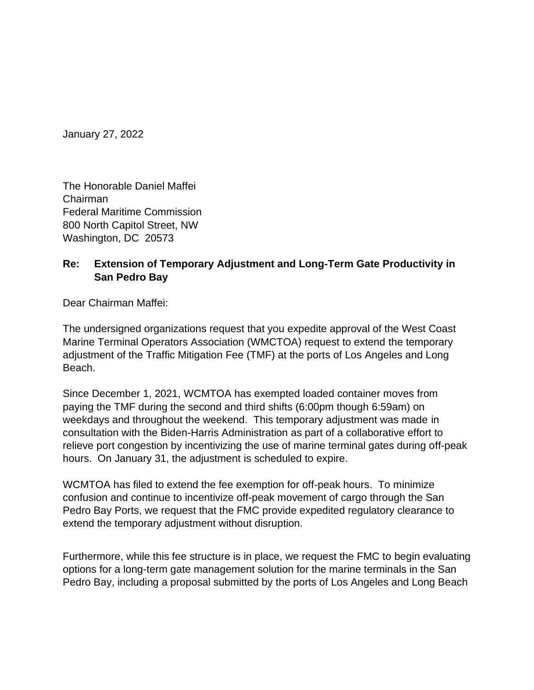January 27, 2022

The Honorable Daniel Maffei Chairman Federal Maritime Commission 800 North Capitol Street, NW Washington, DC 20573

## **Re: Extension of Temporary Adjustment and Long-Term Gate Productivity in San Pedro Bay**

Dear Chairman Maffei:

The undersigned organizations request that you expedite approval of the West Coast Marine Terminal Operators Association (WMCTOA) request to extend the temporary adjustment of the Traffic Mitigation Fee (TMF) at the ports of Los Angeles and Long Beach.

Since December 1, 2021, WCMTOA has exempted loaded container moves from paying the TMF during the second and third shifts (6:00pm though 6:59am) on weekdays and throughout the weekend. This temporary adjustment was made in consultation with the Biden-Harris Administration as part of a collaborative effort to relieve port congestion by incentivizing the use of marine terminal gates during off-peak hours. On January 31, the adjustment is scheduled to expire.

WCMTOA has filed to extend the fee exemption for off-peak hours. To minimize confusion and continue to incentivize off-peak movement of cargo through the San Pedro Bay Ports, we request that the FMC provide expedited regulatory clearance to extend the temporary adjustment without disruption.

Furthermore, while this fee structure is in place, we request the FMC to begin evaluating options for a long-term gate management solution for the marine terminals in the San Pedro Bay, including a proposal submitted by the ports of Los Angeles and Long Beach